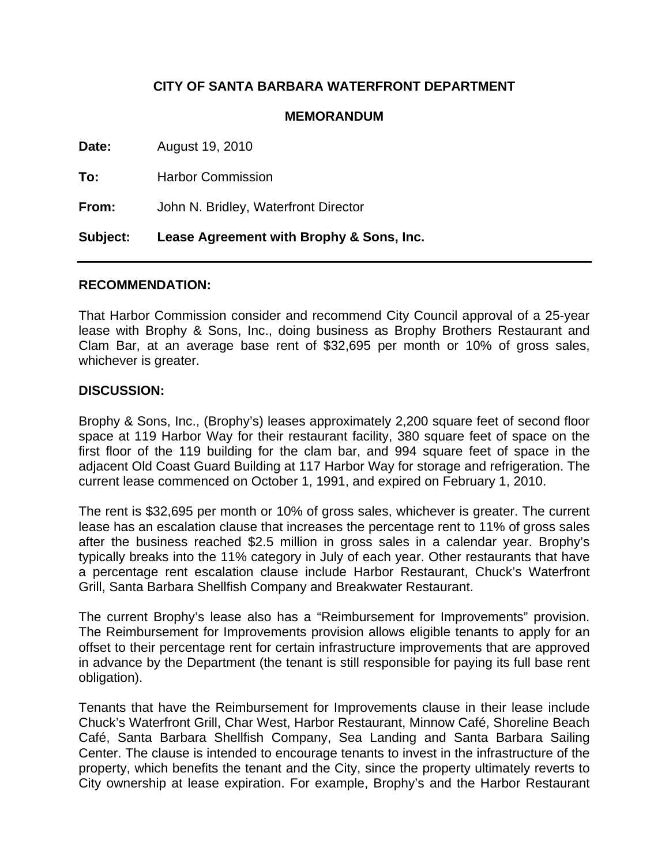## **CITY OF SANTA BARBARA WATERFRONT DEPARTMENT**

## **MEMORANDUM**

**Date:** August 19, 2010

**To:** Harbor Commission

**From:** John N. Bridley, Waterfront Director

**Subject: Lease Agreement with Brophy & Sons, Inc.** 

## **RECOMMENDATION:**

That Harbor Commission consider and recommend City Council approval of a 25-year lease with Brophy & Sons, Inc., doing business as Brophy Brothers Restaurant and Clam Bar, at an average base rent of \$32,695 per month or 10% of gross sales, whichever is greater.

## **DISCUSSION:**

Brophy & Sons, Inc., (Brophy's) leases approximately 2,200 square feet of second floor space at 119 Harbor Way for their restaurant facility, 380 square feet of space on the first floor of the 119 building for the clam bar, and 994 square feet of space in the adjacent Old Coast Guard Building at 117 Harbor Way for storage and refrigeration. The current lease commenced on October 1, 1991, and expired on February 1, 2010.

The rent is \$32,695 per month or 10% of gross sales, whichever is greater. The current lease has an escalation clause that increases the percentage rent to 11% of gross sales after the business reached \$2.5 million in gross sales in a calendar year. Brophy's typically breaks into the 11% category in July of each year. Other restaurants that have a percentage rent escalation clause include Harbor Restaurant, Chuck's Waterfront Grill, Santa Barbara Shellfish Company and Breakwater Restaurant.

The current Brophy's lease also has a "Reimbursement for Improvements" provision. The Reimbursement for Improvements provision allows eligible tenants to apply for an offset to their percentage rent for certain infrastructure improvements that are approved in advance by the Department (the tenant is still responsible for paying its full base rent obligation).

Tenants that have the Reimbursement for Improvements clause in their lease include Chuck's Waterfront Grill, Char West, Harbor Restaurant, Minnow Café, Shoreline Beach Café, Santa Barbara Shellfish Company, Sea Landing and Santa Barbara Sailing Center. The clause is intended to encourage tenants to invest in the infrastructure of the property, which benefits the tenant and the City, since the property ultimately reverts to City ownership at lease expiration. For example, Brophy's and the Harbor Restaurant